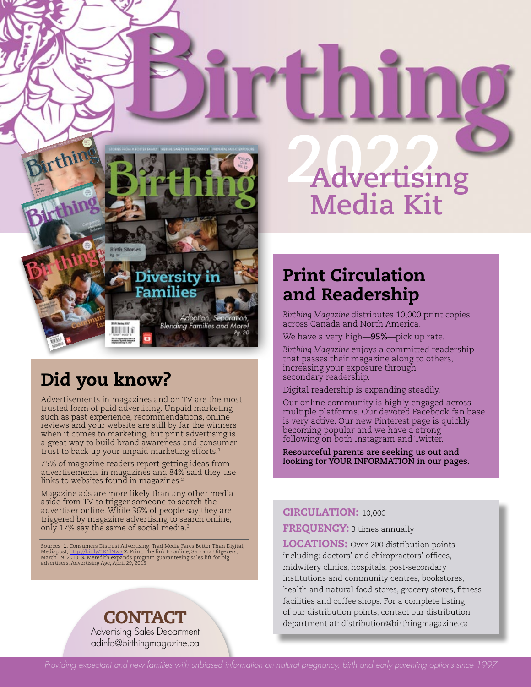

### Did you know?

Advertisements in magazines and on TV are the most trusted form of paid advertising. Unpaid marketing such as past experience, recommendations, online reviews and your website are still by far the winners when it comes to marketing, but print advertising is a great way to build brand awareness and consumer trust to back up your unpaid marketing efforts.<sup>1</sup>

75% of magazine readers report getting ideas from advertisements in magazines and 84% said they use links to websites found in magazines.<sup>2</sup>

Magazine ads are more likely than any other media aside from TV to trigger someone to search the advertiser online. While 36% of people say they are triggered by magazine advertising to search online, only 17% say the same of social media.3

Sources: **1.** Consumers Distrust Advertising: Trad Media Fares Better Than Digital,<br>Mediapost, <u>http://bit.ly/1K1Nw5</u> **2.** Print. The link to online, Sanoma Uitgevers,<br>March 19, 2010. **3. Mere** 

#### CONTACT Advertising Sales Department adinfo@birthingmagazine.ca

# **2A022 dvertising Media Kit**

#### Print Circulation and Readership

*Birthing Magazine* distributes 10,000 print copies across Canada and North America.

We have a very high—**95%**—pick up rate.

*Birthing Magazine* enjoys a committed readership that passes their magazine along to others, increasing your exposure through secondary readership.

Digital readership is expanding steadily.

Our online community is highly engaged across multiple platforms. Our devoted Facebook fan base is very active. Our new Pinterest page is quickly becoming popular and we have a strong following on both Instagram and Twitter.

**Resourceful parents are seeking us out and looking for YOUR INFORMATION in our pages.**

#### CIRCULATION: 10,000

**FREQUENCY:** 3 times annually

**LOCATIONS:** Over 200 distribution points including: doctors' and chiropractors' offices, midwifery clinics, hospitals, post-secondary institutions and community centres, bookstores, health and natural food stores, grocery stores, fitness facilities and coffee shops. For a complete listing of our distribution points, contact our distribution department at: distribution@birthingmagazine.ca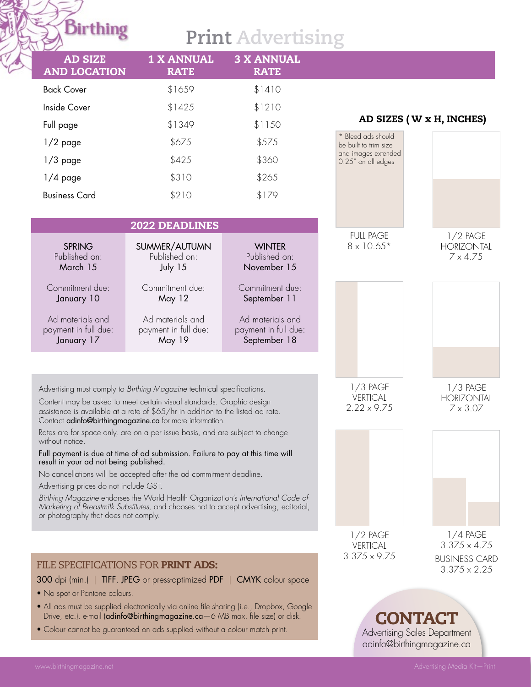## **Print Advertising**

| <b>AD SIZE</b><br><b>AND LOCATION</b>                                                                                                                                                                                                                                                          | <b>1 X ANNUAL</b><br><b>RATE</b>                                                                                                                                           | <b>3 X ANNUAL</b><br><b>RATE</b>                         |                                                            |                                                    |
|------------------------------------------------------------------------------------------------------------------------------------------------------------------------------------------------------------------------------------------------------------------------------------------------|----------------------------------------------------------------------------------------------------------------------------------------------------------------------------|----------------------------------------------------------|------------------------------------------------------------|----------------------------------------------------|
| <b>Back Cover</b>                                                                                                                                                                                                                                                                              | \$1659                                                                                                                                                                     | \$1410                                                   |                                                            |                                                    |
| Inside Cover                                                                                                                                                                                                                                                                                   | \$1425                                                                                                                                                                     | \$1210                                                   |                                                            |                                                    |
| Full page                                                                                                                                                                                                                                                                                      | \$1349                                                                                                                                                                     | \$1150                                                   |                                                            | AD SIZES (W x H, INCHES)                           |
| $1/2$ page                                                                                                                                                                                                                                                                                     | \$675                                                                                                                                                                      | \$575                                                    | * Bleed ads should<br>be built to trim size                |                                                    |
| $1/3$ page                                                                                                                                                                                                                                                                                     | \$425                                                                                                                                                                      | \$360                                                    | and images extended<br>0.25" on all edges                  |                                                    |
| $1/4$ page                                                                                                                                                                                                                                                                                     | \$310                                                                                                                                                                      | \$265                                                    |                                                            |                                                    |
| <b>Business Card</b>                                                                                                                                                                                                                                                                           | \$210                                                                                                                                                                      | \$179                                                    |                                                            |                                                    |
|                                                                                                                                                                                                                                                                                                |                                                                                                                                                                            |                                                          |                                                            |                                                    |
| <b>2022 DEADLINES</b>                                                                                                                                                                                                                                                                          |                                                                                                                                                                            |                                                          | <b>FULL PAGE</b>                                           | $1/2$ PAGE                                         |
| <b>SPRING</b><br>Published on:<br>March 15                                                                                                                                                                                                                                                     | SUMMER/AUTUMN<br>Published on:<br>July 15                                                                                                                                  | <b>WINTER</b><br>Published on:<br>November 15            | $8 \times 10.65*$                                          | <b>HORIZONTAL</b><br>$7 \times 4.75$               |
| Commitment due:<br>January 10                                                                                                                                                                                                                                                                  | Commitment due:<br>May 12                                                                                                                                                  | Commitment due:<br>September 11                          |                                                            |                                                    |
| Ad materials and<br>payment in full due:<br>January 17                                                                                                                                                                                                                                         | Ad materials and<br>payment in full due:<br>May 19                                                                                                                         | Ad materials and<br>payment in full due:<br>September 18 |                                                            |                                                    |
|                                                                                                                                                                                                                                                                                                |                                                                                                                                                                            |                                                          |                                                            |                                                    |
| Advertising must comply to Birthing Magazine technical specifications.<br>Content may be asked to meet certain visual standards. Graphic design<br>assistance is available at a rate of \$65/hr in addition to the listed ad rate.<br>Contact adinfo@birthingmagazine.ca for more information. |                                                                                                                                                                            |                                                          | $1/3$ PAGE<br><b>VERTICAL</b><br>$2.22 \times 9.75$        | $1/3$ PAGE<br><b>HORIZONTAL</b><br>$7 \times 3.07$ |
| without notice.                                                                                                                                                                                                                                                                                | Rates are for space only, are on a per issue basis, and are subject to change                                                                                              |                                                          |                                                            |                                                    |
| result in your ad not being published.                                                                                                                                                                                                                                                         | Full payment is due at time of ad submission. Failure to pay at this time will                                                                                             |                                                          |                                                            |                                                    |
| Advertising prices do not include GST.                                                                                                                                                                                                                                                         | No cancellations will be accepted after the ad commitment deadline.                                                                                                        |                                                          |                                                            |                                                    |
| or photography that does not comply.                                                                                                                                                                                                                                                           | Birthing Magazine endorses the World Health Organization's International Code of<br>Marketing of Breastmilk Substitutes, and chooses not to accept advertising, editorial, |                                                          |                                                            |                                                    |
|                                                                                                                                                                                                                                                                                                |                                                                                                                                                                            |                                                          | $1/2$ PAGE                                                 | $1/4$ PAGE                                         |
|                                                                                                                                                                                                                                                                                                |                                                                                                                                                                            |                                                          | <b>VERTICAL</b>                                            | $3.375 \times 4.75$                                |
| FILE SPECIFICATIONS FOR PRINT ADS:                                                                                                                                                                                                                                                             |                                                                                                                                                                            |                                                          | $3.375 \times 9.75$                                        | <b>BUSINESS CARD</b><br>$3.375 \times 2.25$        |
|                                                                                                                                                                                                                                                                                                | 300 dpi (min.)   TIFF, JPEG or press-optimized PDF   CMYK colour space                                                                                                     |                                                          |                                                            |                                                    |
| • No spot or Pantone colours.                                                                                                                                                                                                                                                                  |                                                                                                                                                                            |                                                          |                                                            |                                                    |
| • All ads must be supplied electronically via online file sharing (i.e., Dropbox, Google<br>Drive, etc.), e-mail (adinfo@birthingmagazine.ca-6 MB max. file size) or disk.                                                                                                                     |                                                                                                                                                                            |                                                          |                                                            | <b>CONTACT</b>                                     |
| • Colour cannot be guaranteed on ads supplied without a colour match print.                                                                                                                                                                                                                    |                                                                                                                                                                            |                                                          | Advertising Sales Department<br>adinfo@birthingmagazine.ca |                                                    |

**Birthing**